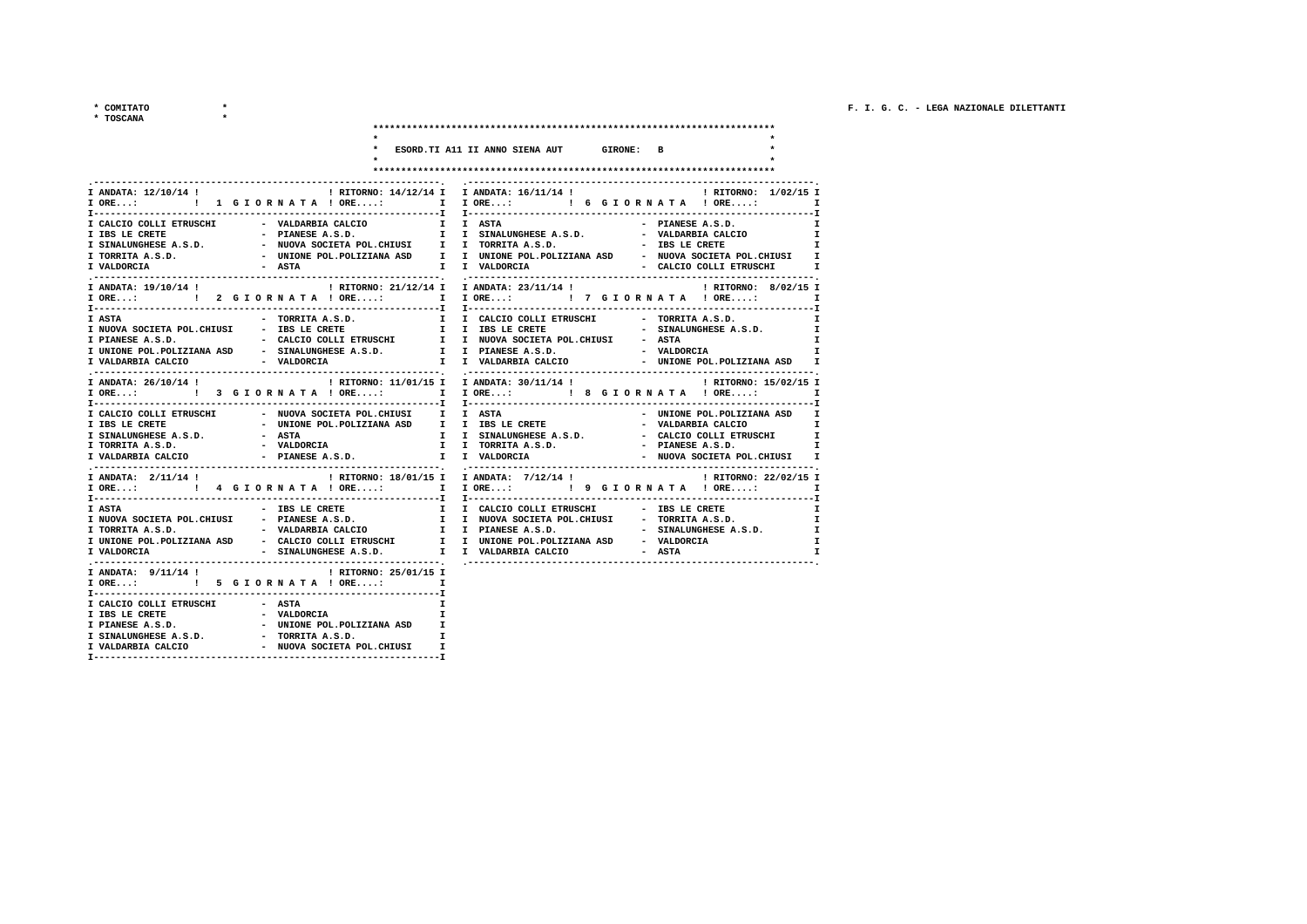$\begin{matrix} \star\hspace{2mm} & \text{COMITATO} \\ \star\hspace{2mm} & \text{TOSCANA} \end{matrix} \qquad \qquad \begin{matrix} \star\hspace{2mm} \\ \star\hspace{2mm} \end{matrix}$ 

|  | <b>DSCANA</b> |  |
|--|---------------|--|
|  |               |  |

|                                                                                                                                        | ESORD.TI A11 II ANNO SIENA AUT GIRONE: B                                                                                                                                                                                                                                                                                                    |
|----------------------------------------------------------------------------------------------------------------------------------------|---------------------------------------------------------------------------------------------------------------------------------------------------------------------------------------------------------------------------------------------------------------------------------------------------------------------------------------------|
|                                                                                                                                        |                                                                                                                                                                                                                                                                                                                                             |
| I VALDORCIA<br>- ASTA                                                                                                                  | I ANDATA: 12/10/14 !                                     RITORNO: 14/12/14 I I ANDATA: 16/11/14 !                       RITORNO: 1/02/15 I<br>- PIANESE A.S.D.<br>$\mathbf{I}$<br>$\mathbf{I}$<br>$\mathbf{I}$<br>I TORRITA A.S.D.             - UNIONE POL.POLIZIANA ASD     I   UNIONE POL.POLIZIANA ASD   - NUOVA SOCIETA POL.CHIUSI   I |
|                                                                                                                                        | I ANDATA: 19/10/14 !                                   RITORNO: 21/12/14 I ANDATA: 23/11/14 !                   RITORNO: 8/02/15 I<br>IORE: 1   2 GIORNATA ! ORE: I IORE: 1   7 GIORNATA ! ORE: I                                                                                                                                           |
|                                                                                                                                        | <b>I</b><br>I PIANESE A.S.D.                         CALCIO COLLI ETRUSCHI         I   NUOVA SOCIETA POL.CHIUSI           ASTA<br>I UNIONE POL.POLIZIANA ASD           SINALUNGHESE A.S.D.           I       PIANESE A.S.D.<br>$\mathbf{I}$<br>$\mathbf{I}$<br>I I VALDARBIA CALCIO   - UNIONE POL.POLIZIANA ASD   I                        |
|                                                                                                                                        | I ANDATA: 26/10/14 ! I ATORNO: 11/01/15 I ANDATA: 30/11/14 ! I RITORNO: 15/02/15 I<br>IORE: 1 3 GIORNATA ! ORE: I IORE: 1 8 GIORNATA ! ORE: I                                                                                                                                                                                               |
| I CALCIO COLLI ETRUSCHI - NUOVA SOCIETA POL.CHIUSI II I ASTA<br>I SINALUNGHESE A.S.D. - ASTA<br>I TORRITA A.S.D.<br>I VALDARBIA CALCIO | - UNIONE POL.POLIZIANA ASD I                                                                                                                                                                                                                                                                                                                |
| I ANDATA: 2/11/14 !                                                                                                                    | ! RITORNO: 18/01/15 I I ANDATA: 7/12/14 !<br>! RITORNO: 22/02/15 I                                                                                                                                                                                                                                                                          |
| I VALDORCIA                                                                                                                            | I UNIONE POL.POLIZIANA ASD - CALCIO COLLI ETRUSCHI I I UNIONE POL.POLIZIANA ASD - VALDORCIA<br>$\mathbf{I}$<br>- SINALUNGHESE A.S.D. I I VALDARBIA CALCIO - ASTA<br>T                                                                                                                                                                       |
| I ANDATA: $9/11/14$ ! [RITORNO: 25/01/15 I                                                                                             | $\mathbf{I}$                                                                                                                                                                                                                                                                                                                                |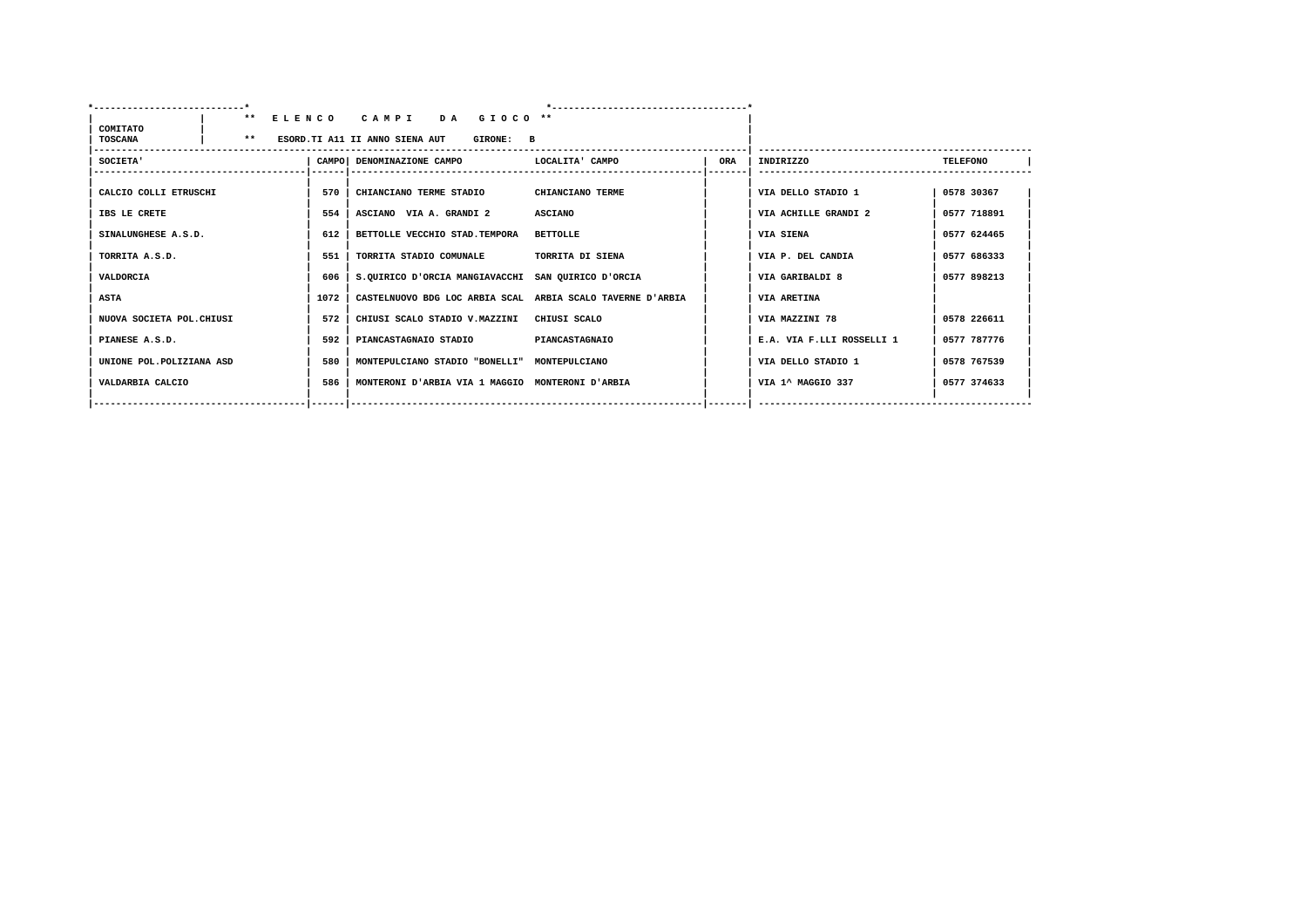| COMITATO                  | $***$ |      | ELENCO CAMPI<br>DA GIOCO <sup>**</sup>                     |                       |            |                           |                 |
|---------------------------|-------|------|------------------------------------------------------------|-----------------------|------------|---------------------------|-----------------|
| <b>TOSCANA</b>            | $* *$ |      | ESORD. TI A11 II ANNO SIENA AUT<br>GIRONE: B               |                       |            |                           |                 |
| SOCIETA'                  |       |      | CAMPO  DENOMINAZIONE CAMPO                                 | LOCALITA' CAMPO       | <b>ORA</b> | INDIRIZZO                 | <b>TELEFONO</b> |
| CALCIO COLLI ETRUSCHI     |       | 570  | CHIANCIANO TERME STADIO                                    | CHIANCIANO TERME      |            | VIA DELLO STADIO 1        | 0578 30367      |
| IBS LE CRETE              |       | 554  | ASCIANO VIA A. GRANDI 2                                    | <b>ASCIANO</b>        |            | VIA ACHILLE GRANDI 2      | 0577 718891     |
| SINALUNGHESE A.S.D.       |       | 612  | BETTOLLE VECCHIO STAD. TEMPORA                             | <b>BETTOLLE</b>       |            | VIA SIENA                 | 0577 624465     |
| TORRITA A.S.D.            |       | 551  | TORRITA STADIO COMUNALE                                    | TORRITA DI SIENA      |            | VIA P. DEL CANDIA         | 0577 686333     |
| VALDORCIA                 |       | 606  | S.QUIRICO D'ORCIA MANGIAVACCHI SAN QUIRICO D'ORCIA         |                       |            | VIA GARIBALDI 8           | 0577 898213     |
| <b>ASTA</b>               |       | 1072 | CASTELNUOVO BDG LOC ARBIA SCAL ARBIA SCALO TAVERNE D'ARBIA |                       |            | VIA ARETINA               |                 |
| NUOVA SOCIETA POL. CHIUSI |       | 572  | CHIUSI SCALO STADIO V.MAZZINI                              | CHIUSI SCALO          |            | VIA MAZZINI 78            | 0578 226611     |
| PIANESE A.S.D.            |       | 592  | PIANCASTAGNAIO STADIO                                      | <b>PIANCASTAGNAIO</b> |            | E.A. VIA F.LLI ROSSELLI 1 | 0577 787776     |
| UNIONE POL. POLIZIANA ASD |       | 580  | MONTEPULCIANO STADIO "BONELLI" MONTEPULCIANO               |                       |            | VIA DELLO STADIO 1        | 0578 767539     |
| VALDARBIA CALCIO          |       | 586  | MONTERONI D'ARBIA VIA 1 MAGGIO MONTERONI D'ARBIA           |                       |            | VIA 1^ MAGGIO 337         | 0577 374633     |
|                           |       |      |                                                            |                       |            |                           |                 |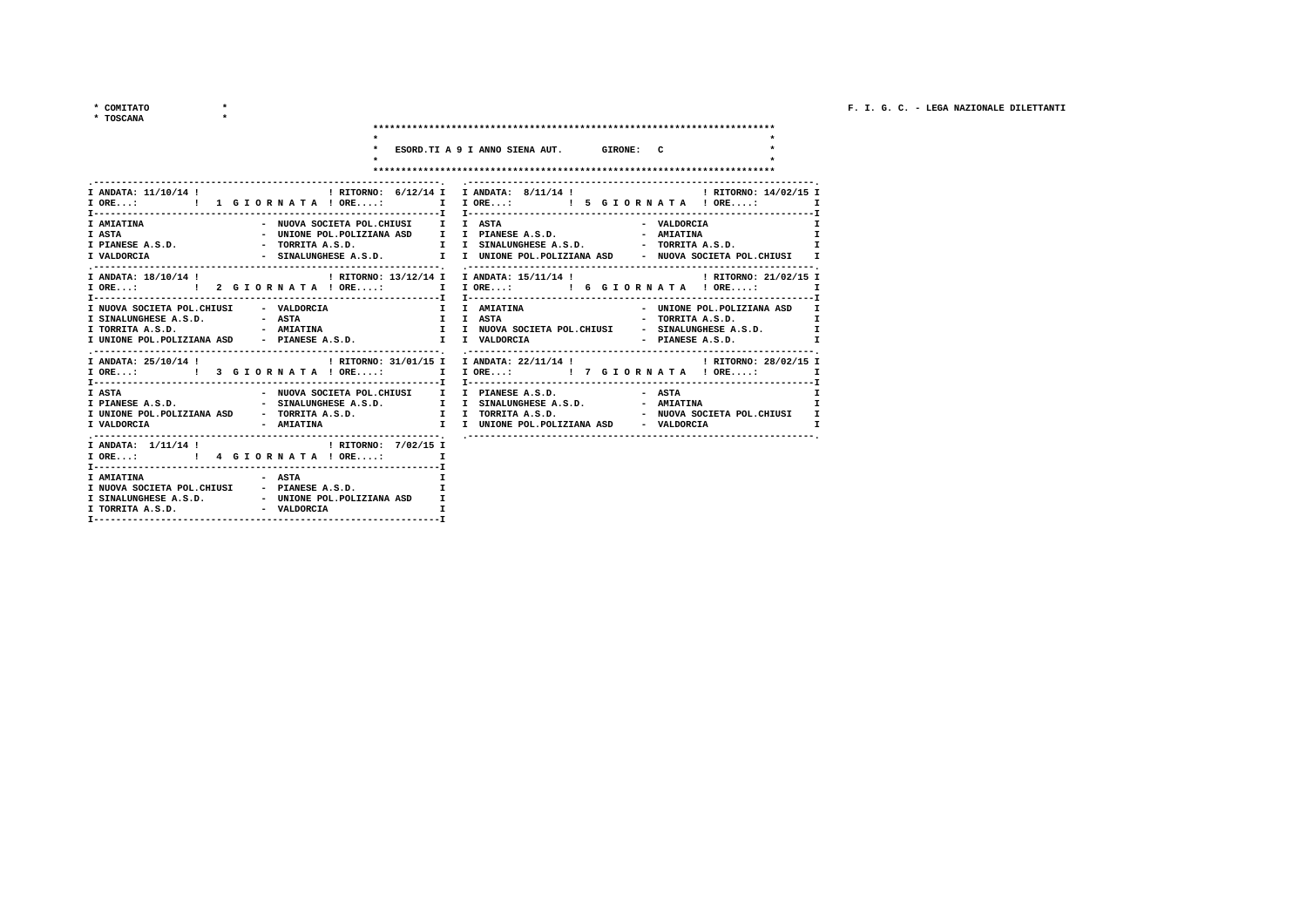$\frac{1}{2} \left( \frac{1}{2} \right)^2 + \frac{1}{2} \left( \frac{1}{2} \right)^2$ \* COMITATO

| * TOSCANA                                                                                                                                                                                                                                                                                                                                      |                                                                                                                                                                                                                                    |                                                                                                                                                               |                                                |                                                   |
|------------------------------------------------------------------------------------------------------------------------------------------------------------------------------------------------------------------------------------------------------------------------------------------------------------------------------------------------|------------------------------------------------------------------------------------------------------------------------------------------------------------------------------------------------------------------------------------|---------------------------------------------------------------------------------------------------------------------------------------------------------------|------------------------------------------------|---------------------------------------------------|
|                                                                                                                                                                                                                                                                                                                                                | $\bullet$ . The contract of the contract of the contract of the contract of the contract of the contract of the contract of the contract of the contract of the contract of the contract of the contract of the contract of the co | * ESORD. TI A 9 I ANNO SIENA AUT. GIRONE: C                                                                                                                   |                                                |                                                   |
| I ORE: [ 1 G I O R N A T A ! ORE: I I ORE: I S G I O R N A T A ! ORE: I<br><b>I AMIATINA</b><br>I VALDORCIA                                                                                                                                                                                                                                    |                                                                                                                                                                                                                                    | - NUOVA SOCIETA POL.CHIUSI II I ASTA<br>- SINALUNGHESE A.S.D. I I UNIONE POL.POLIZIANA ASD - NUOVA SOCIETA POL.CHIUSI I                                       | - VALDORCIA                                    | $\mathbf{I}$                                      |
| I ANDATA: 18/10/14 !                                   RITORNO: 13/12/14 I ANDATA: 15/11/14 !                 RITORNO: 21/02/15 I<br>- VALDORCIA<br>I NUOVA SOCIETA POL.CHIUSI<br>I UNIONE POL.POLIZIANA ASD - PIANESE A.S.D. I I VALDORCIA                                                                                                    |                                                                                                                                                                                                                                    | I I AMIATINA                                                                                                                                                  | - UNIONE POL.POLIZIANA ASD<br>- PIANESE A.S.D. | $\mathbf{I}$<br>$\mathbf{r}$<br>$\mathbf{I}$<br>T |
| I ANDATA: 25/10/14 !<br>I RITORNO: 31/01/15 I ANDATA: 22/11/14 !   RITORNO: 28/02/15 I<br>IORE:  1 IORE: I IORE: I TORE: I TORE: I TORE: I<br>I ASTA<br>I PIANESE A.S.D.                               SINALUNGHESE A.S.D.           I   I SINALUNGHESE A.S.D.             AMIATINA<br>I UNIONE POL.POLIZIANA ASD<br>- AMIATINA<br>I VALDORCIA |                                                                                                                                                                                                                                    | - NUOVA SOCIETA POL.CHIUSI I I PIANESE A.S.D.<br>- TORRITA A.S.D. I I TORRITA A.S.D. - NUOVA SOCIETA POL.CHIUSI I<br>I I UNIONE POL.POLIZIANA ASD - VALDORCIA | - ASTA                                         | I.                                                |
| I ANDATA: $1/11/14$ ! (RITORNO: $7/02/15$ I                                                                                                                                                                                                                                                                                                    |                                                                                                                                                                                                                                    |                                                                                                                                                               |                                                |                                                   |

| I AMIATINA                 | - ASTA                    |  |
|----------------------------|---------------------------|--|
| I NUOVA SOCIETA POL.CHIUSI | - PIANESE A.S.D.          |  |
| I SINALUNGHESE A.S.D.      | UNIONE POL. POLIZIANA ASD |  |
| I TORRITA A.S.D.           | VALDORCIA                 |  |
|                            |                           |  |

| 1.10R <sub>1</sub> 1 <sub>1</sub> | , while when the second the second state of the second state of the second state of the second state of the second state of the second state of the second state of the second state is a second state of the second state in |
|-----------------------------------|-------------------------------------------------------------------------------------------------------------------------------------------------------------------------------------------------------------------------------|
|                                   |                                                                                                                                                                                                                               |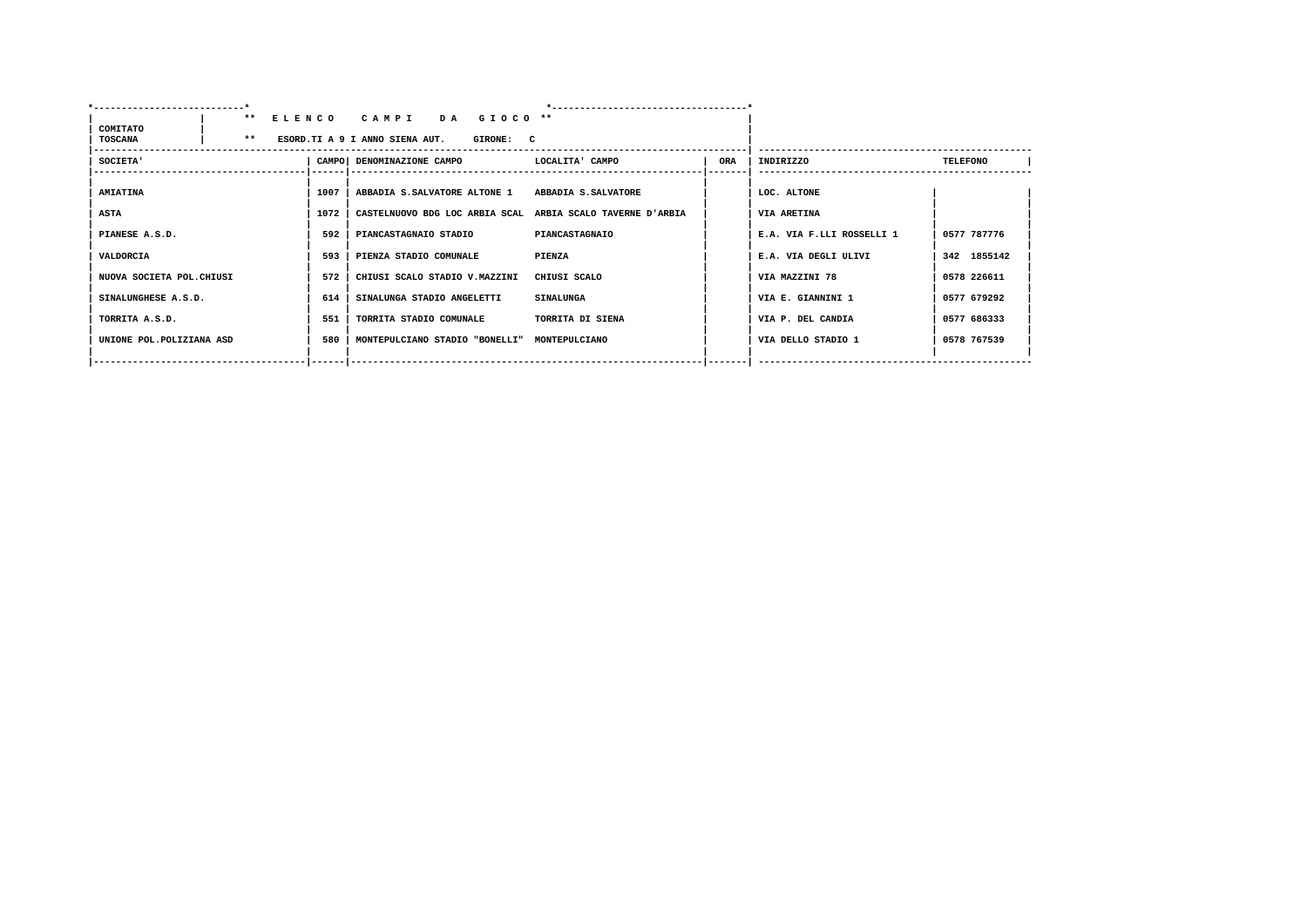| COMITATO                  |       |      | ** ELENCO CAMPI<br>DA GIOCO <sup>**</sup>                  |                       |     |                           |                 |
|---------------------------|-------|------|------------------------------------------------------------|-----------------------|-----|---------------------------|-----------------|
| <b>TOSCANA</b>            | $***$ |      | ESORD. TI A 9 I ANNO SIENA AUT.<br>GIRONE: C               |                       |     |                           |                 |
| <b>SOCIETA'</b>           |       |      | CAMPO DENOMINAZIONE CAMPO                                  | LOCALITA' CAMPO       | ORA | INDIRIZZO                 | <b>TELEFONO</b> |
| <b>AMIATINA</b>           |       | 1007 | ABBADIA S.SALVATORE ALTONE 1 ABBADIA S.SALVATORE           |                       |     | LOC. ALTONE               |                 |
| <b>ASTA</b>               |       | 1072 | CASTELNUOVO BDG LOC ARBIA SCAL ARBIA SCALO TAVERNE D'ARBIA |                       |     | VIA ARETINA               |                 |
| PIANESE A.S.D.            |       | 592  | PIANCASTAGNAIO STADIO                                      | <b>PIANCASTAGNAIO</b> |     | E.A. VIA F.LLI ROSSELLI 1 | 0577 787776     |
| VALDORCIA                 |       | 593  | PIENZA STADIO COMUNALE                                     | PIENZA                |     | E.A. VIA DEGLI ULIVI      | 342 1855142     |
| NUOVA SOCIETA POL. CHIUSI |       | 572  | CHIUSI SCALO STADIO V.MAZZINI                              | CHIUSI SCALO          |     | VIA MAZZINI 78            | 0578 226611     |
| SINALUNGHESE A.S.D.       |       | 614  | SINALUNGA STADIO ANGELETTI                                 | <b>SINALUNGA</b>      |     | VIA E. GIANNINI 1         | 0577 679292     |
| TORRITA A.S.D.            |       | 551  | TORRITA STADIO COMUNALE                                    | TORRITA DI SIENA      |     | VIA P. DEL CANDIA         | 0577 686333     |
| UNIONE POL. POLIZIANA ASD |       | 580  | MONTEPULCIANO STADIO "BONELLI" MONTEPULCIANO               |                       |     | VIA DELLO STADIO 1        | 0578 767539     |
|                           |       |      |                                                            |                       |     |                           |                 |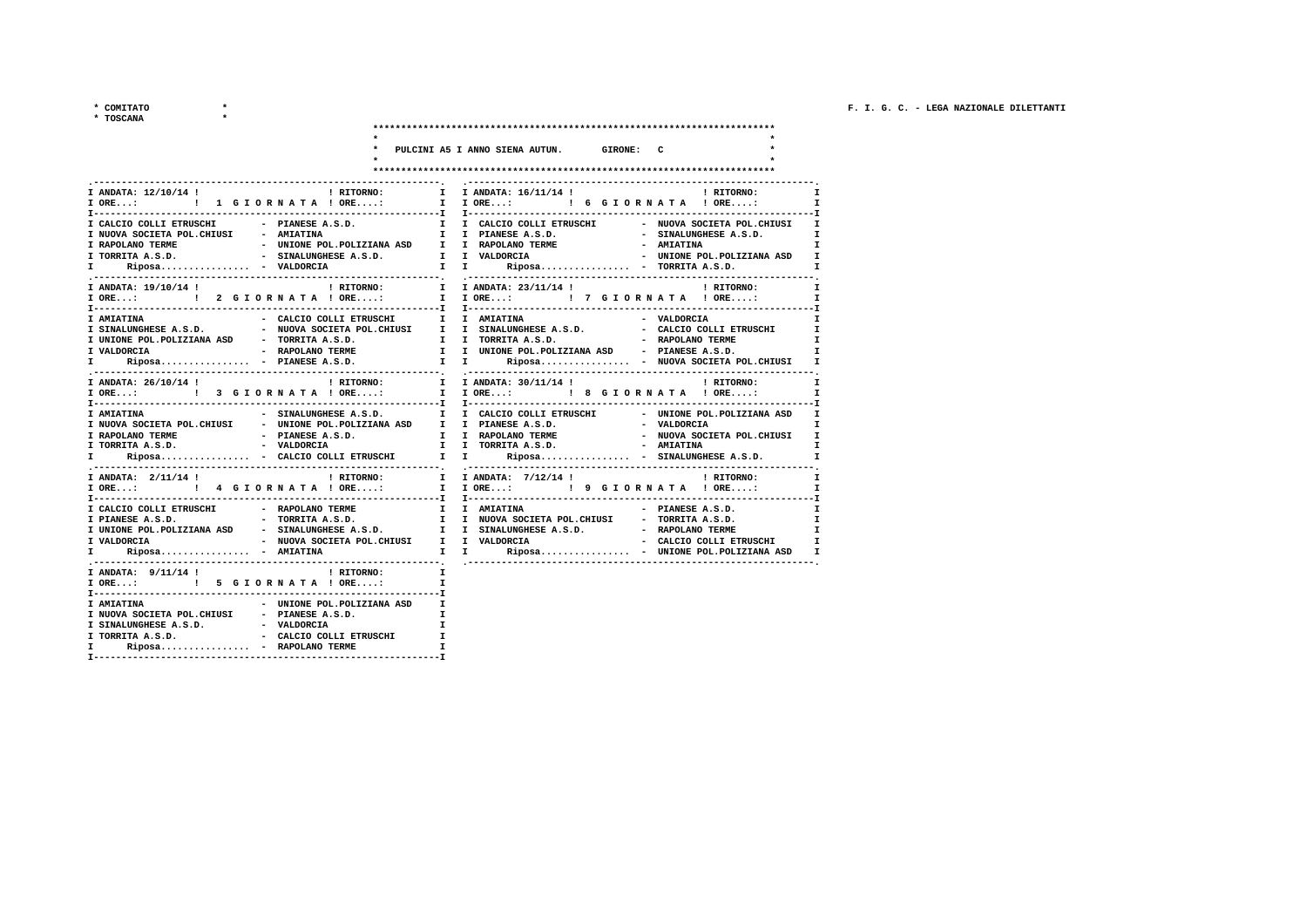\* TOSCANA

| OSCANA |
|--------|
|--------|

|                                                                                                                                                                                                                                          |              | PULCINI A5 I ANNO SIENA AUTUN. GIRONE: C |                                                                      |
|------------------------------------------------------------------------------------------------------------------------------------------------------------------------------------------------------------------------------------------|--------------|------------------------------------------|----------------------------------------------------------------------|
|                                                                                                                                                                                                                                          |              |                                          |                                                                      |
|                                                                                                                                                                                                                                          |              |                                          |                                                                      |
|                                                                                                                                                                                                                                          |              |                                          |                                                                      |
| I ANDATA: 12/10/14 !                                                                                                                                                                                                                     |              | ! RITORNO: I I ANDATA: 16/11/14 !        | ! RITORNO:                                                           |
|                                                                                                                                                                                                                                          |              |                                          |                                                                      |
|                                                                                                                                                                                                                                          |              |                                          |                                                                      |
| I CALCIO COLLI ETRUSCHI - PIANESE A.S.D.                                                                                                                                                                                                 |              |                                          | I I CALCIO COLLI ETRUSCHI - NUOVA SOCIETA POL.CHIUSI<br>$\mathbf{I}$ |
| I NUOVA SOCIETA POL. CHIUSI - AMIATINA                                                                                                                                                                                                   |              |                                          | I                                                                    |
|                                                                                                                                                                                                                                          |              |                                          | $\mathbf{r}$                                                         |
|                                                                                                                                                                                                                                          |              |                                          | $\mathbf{I}$                                                         |
| T RAPOLANO TERME<br>I RAPOLANO TERME<br>I REDOLANO TERME - SINALUNGHESE A.S.D.<br>I REDOLANO TERME - VALDORCIA - UNIONE POL.POLIZIANA ASD I<br>I TORRITA A.S.D. - VALDORCIA - TORRITA A.S.D.<br>I TORRITA A.S.D. I I REDOLANO TERME - UN |              |                                          | $\mathbf{I}$                                                         |
| $\blacksquare$ RITORNO: $\blacksquare$ I ANDATA: 23/11/14 ! $\blacksquare$ I RITORNO:<br>I ANDATA: 19/10/14 !                                                                                                                            |              |                                          | $\mathbf{I}$                                                         |
| I ORE:  1 I ORE:  1 I ORE:  1 I ORE I ORE  1 ORE  1 ORE  1 ORE  1 ORE  1 ORE  1 ORE  1 ORE                                                                                                                                               |              |                                          | $\mathbf{I}$                                                         |
|                                                                                                                                                                                                                                          |              |                                          |                                                                      |
| - CALCIO COLLI ETRUSCHI I I AMIATINA<br>I AMIATINA                                                                                                                                                                                       |              |                                          | $\mathbf{r}$<br>- VALDORCIA                                          |
| T SINALUNGHESE A.S.D. - WIOVA SOCIETA POL.CHIUSI T I SINALUNGHESE A.S.D. - CALCIO COLLI ETRUSCHI                                                                                                                                         |              |                                          | $\mathbf{I}$                                                         |
|                                                                                                                                                                                                                                          |              |                                          | $\mathbf{I}$                                                         |
|                                                                                                                                                                                                                                          |              |                                          | $\mathbf{I}$                                                         |
|                                                                                                                                                                                                                                          |              |                                          | $\mathbf{I}$                                                         |
|                                                                                                                                                                                                                                          |              |                                          |                                                                      |
| ! RITORNO:<br>I ANDATA: 26/10/14 !                                                                                                                                                                                                       |              | I I ANDATA: 30/11/14 !                   | $\mathbf{r}$<br>! RITORNO:                                           |
| I ORE:  1 I ORE: I I ORE:  I ORE:  I ORE I ORE I ORE I ORE I ORE                                                                                                                                                                         |              |                                          | $\mathbf{I}$                                                         |
|                                                                                                                                                                                                                                          |              |                                          |                                                                      |
| - SINALUNGHESE A.S.D. I I CALCIO COLLI ETRUSCHI - UNIONE POL.POLIZIANA ASD<br><b>I AMIATINA</b>                                                                                                                                          |              |                                          | $\mathbf{I}$                                                         |
| I NUOVA SOCIETA POL.CHIUSI - UNIONE POL.POLIZIANA ASD I I PIANESE A.S.D. - - VALDORCIA                                                                                                                                                   |              |                                          |                                                                      |
|                                                                                                                                                                                                                                          |              |                                          | - NUOVA SOCIETA POL.CHIUSI<br>- AMIATINA<br>$\mathbf{I}$             |
|                                                                                                                                                                                                                                          |              |                                          | $\mathbf{I}$                                                         |
| Riposa - CALCIO COLLI ETRUSCHI I I Riposa - SINALUNGHESE A.S.D.<br>$\mathbf{I}$                                                                                                                                                          |              |                                          | $\mathbf{I}$                                                         |
|                                                                                                                                                                                                                                          |              |                                          | I I ANDATA: 7/12/14 ! (2010) PHYSICS<br>$\mathbf{I}$                 |
| I ORE:  1 I ORE:  1 I ORE:  1 I ORE I ORE  1 ORE  1 ORE  1 ORE  1 ORE  1 ORE  1 ORE  1 ORE                                                                                                                                               |              |                                          | $\mathbf{I}$                                                         |
| T-----------------------------                                                                                                                                                                                                           |              |                                          |                                                                      |
|                                                                                                                                                                                                                                          |              |                                          | $\mathbf{r}$                                                         |
|                                                                                                                                                                                                                                          |              |                                          | $\mathbf{I}$                                                         |
|                                                                                                                                                                                                                                          |              |                                          | $\mathbf{I}$                                                         |
| I UNIONE POL.POLIZIANA ASD - SINALUNGHESE A.S.D. I I SINALUNGHESE A.S.D. - RAPOLANO TERME - INDORCIA - NUOVA SOCIETA POL.CHIUSI I VALDORCIA - CALCIO COLLI ETRUSCHI                                                                      |              |                                          | $\mathbf{I}$                                                         |
| $Riposa$ - AMIATINA<br>$\mathbf{I}$ and $\mathbf{I}$                                                                                                                                                                                     |              |                                          | I I Riposa - UNIONE POL.POLIZIANA ASD<br>$\mathbf{I}$                |
|                                                                                                                                                                                                                                          |              |                                          |                                                                      |
| I ANDATA: $9/11/14$ !<br>! RITORNO:                                                                                                                                                                                                      | $\mathbf{I}$ |                                          |                                                                      |
| I ORE: : 5 G I O R N A T A ! ORE:                                                                                                                                                                                                        | T            |                                          |                                                                      |
|                                                                                                                                                                                                                                          |              |                                          |                                                                      |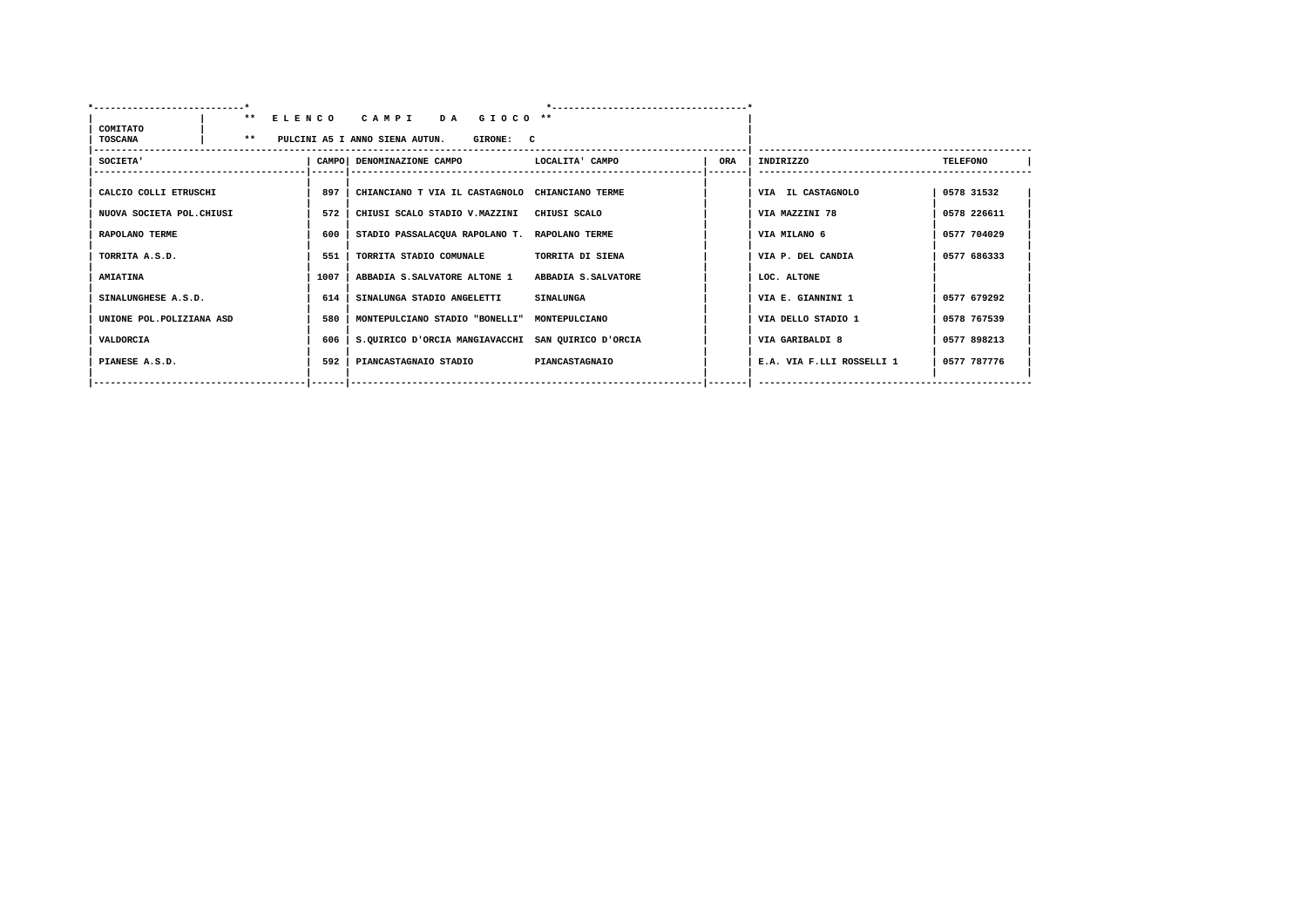| COMITATO                  |       |      | ** ELENCO CAMPI DA GIOCO **                        |                       |     |                           |                 |  |
|---------------------------|-------|------|----------------------------------------------------|-----------------------|-----|---------------------------|-----------------|--|
| <b>TOSCANA</b>            | $***$ |      | PULCINI A5 I ANNO SIENA AUTUN.<br><b>GIRONE: C</b> |                       |     |                           |                 |  |
| SOCIETA'                  |       |      | CAMPO DENOMINAZIONE CAMPO CAMPO LOCALITA CAMPO     |                       | ORA | INDIRIZZO                 | <b>TELEFONO</b> |  |
| CALCIO COLLI ETRUSCHI     |       | 897  | CHIANCIANO T VIA IL CASTAGNOLO CHIANCIANO TERME    |                       |     | VIA IL CASTAGNOLO         | 0578 31532      |  |
| NUOVA SOCIETA POL. CHIUSI |       | 572  | CHIUSI SCALO STADIO V.MAZZINI CHIUSI SCALO         |                       |     | VIA MAZZINI 78            | 0578 226611     |  |
| RAPOLANO TERME            |       | 600  | STADIO PASSALACQUA RAPOLANO T. RAPOLANO TERME      |                       |     | VIA MILANO 6              | 0577 704029     |  |
| TORRITA A.S.D.            |       | 551  | TORRITA STADIO COMUNALE                            | TORRITA DI SIENA      |     | VIA P. DEL CANDIA         | 0577 686333     |  |
| <b>AMIATINA</b>           |       | 1007 | ABBADIA S.SALVATORE ALTONE 1 ABBADIA S.SALVATORE   |                       |     | LOC. ALTONE               |                 |  |
| SINALUNGHESE A.S.D.       |       | 614  | SINALUNGA STADIO ANGELETTI                         | <b>SINALUNGA</b>      |     | VIA E. GIANNINI 1         | 0577 679292     |  |
| UNIONE POL. POLIZIANA ASD |       | 580  | MONTEPULCIANO STADIO "BONELLI" MONTEPULCIANO       |                       |     | VIA DELLO STADIO 1        | 0578 767539     |  |
| VALDORCIA                 |       | 606  | S.OUIRICO D'ORCIA MANGIAVACCHI SAN OUIRICO D'ORCIA |                       |     | VIA GARIBALDI 8           | 0577 898213     |  |
| PIANESE A.S.D.            |       | 592  | PIANCASTAGNAIO STADIO                              | <b>PIANCASTAGNAIO</b> |     | E.A. VIA F.LLI ROSSELLI 1 | 0577 787776     |  |
|                           |       |      |                                                    |                       |     |                           |                 |  |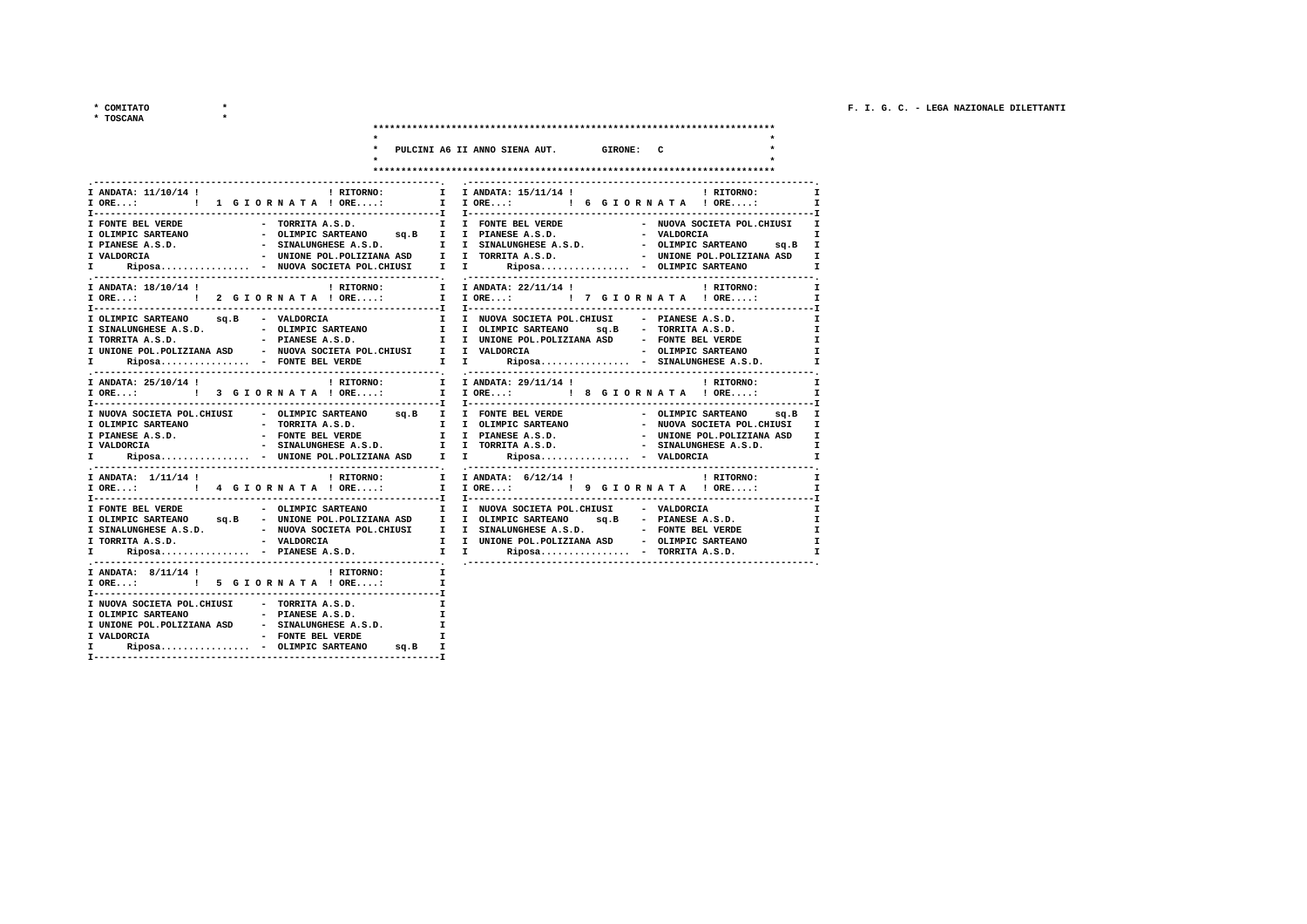\* COMITATO

 $*$  TOS

| <b>MITATO</b> |  |
|---------------|--|
| <b>SCANA</b>  |  |

|                                                                                                                                                                                                                                                                                                                                                                                                                                                                                   |                              | PULCINI A6 II ANNO SIENA AUT. GIRONE: C               |                                                          |                                                                   |
|-----------------------------------------------------------------------------------------------------------------------------------------------------------------------------------------------------------------------------------------------------------------------------------------------------------------------------------------------------------------------------------------------------------------------------------------------------------------------------------|------------------------------|-------------------------------------------------------|----------------------------------------------------------|-------------------------------------------------------------------|
|                                                                                                                                                                                                                                                                                                                                                                                                                                                                                   |                              |                                                       |                                                          |                                                                   |
| I ANDATA: $11/10/14$ ! I RITORNO:<br>I FONTE BEL VERDE<br>I OLIMPIC SARTEANO<br>T DEANEST A.S.D.<br>T PIANEST A.S.D. - CLIMPIC SARTEANO SQ.B<br>I VALDORCIA - UNIONE POL.POLIZIANA ASD I I TORRITA A.S.D. - OLIMPIC SARTEANO SQ.B<br>I VALDORCIA - WIONE POL.POLIZIANA ASD I I TORRITA A.S.D. - UNIONE POL.POLIZIANA                                                                                                                                                              |                              | I I ANDATA: 15/11/14 !<br>I IORE: ! 6 GIORNATA ! ORE: | ! RITORNO:<br>- NUOVA SOCIETA POL. CHIUSI<br>- VALDORCIA | $\mathbf{I}$<br>$\mathbf{I}$<br>I<br>I<br>I<br>$\mathbf{I}$       |
| I ANDATA: 18/10/14 ! I RITORNO: I I ANDATA: 22/11/14 ! I PLYTORNO: I CORE: I PLYTORNO: I ORE: I PLYTORNO                                                                                                                                                                                                                                                                                                                                                                          |                              |                                                       |                                                          | I<br>$\mathbf{I}$                                                 |
| I OLIMPIC SARTEANO sq.B - VALDORCIA<br>I SINALUNGHESE A.S.D. - OLIMPIC SARTEANO<br>I TORRITA A.S.D. - PIANESE A.S.D. I I UNIONE POL.POLIZIANA ASD - FONTE BEL VERDE<br>I UNIONE POL.POLIZIANA ASD - NUOVA SOCIETA POL.CHIUSI I I VALDORCIA - OLIMPIC SARTEANO - INIONE POL.POLIZIANA ASD - NUOVA SOCIETA POL.CHIUSI I I VALDORCIA - OLIMPIC SARTEANO - TRANIUNGHESE A.S.D.<br>I Riposa -                                                                                          |                              |                                                       |                                                          | $\mathbf{r}$<br>$\mathbf{I}$<br>I<br>$\mathbf{I}$<br>$\mathbf{I}$ |
| I ANDATA: 25/10/14 !<br>! RITORNO:                                                                                                                                                                                                                                                                                                                                                                                                                                                |                              | I I ANDATA: 29/11/14 !                                | ! RITORNO:                                               | $\mathbf{I}$                                                      |
| I NUOVA SOCIETA POL.CHIUSI - OLIMPIC SARTEANO 99.B I I FONTE BEL VERDE - OLIMPIC SARTEANO 99.B I<br>T DEANESE A.S.D. - TONIE BEL VERDE THE VERDE THE PIANESE A.S.D. - UNIONE POL.POLIZIANA ASD<br>I VALDORCIA - SINALUNGHESE A.S.D. I I TORRITA A.S.D. - SINALUNGHESE A.S.D.<br>I Riposa - UNIONE POL.POLIZIANA ASD I                                                                                                                                                             |                              |                                                       |                                                          | I<br>I<br>I<br>$\mathbf{I}$                                       |
| I ANDATA: 1/11/14 !<br>! RITORNO:<br>I--------------------------------                                                                                                                                                                                                                                                                                                                                                                                                            |                              | I I ANDATA: 6/12/14!                                  | ! RITORNO:                                               | $\mathbf{I}$<br>$\mathbf{I}$                                      |
| I FONTE BEL VERDE<br>- OLIMPIC SARTEANO<br>I OLIMPIC SARTEANO sq.B - UNIONE POL.POLIZIANA ASD I I OLIMPIC SARTEANO sq.B - PIANESE A.S.D.<br>I SINALUNGHESE A.S.D.                 NUOVA SOCIETA POL.CHIUSI       I   SINALUNGHESE A.S.D.                   FONTE BEL VERDE<br>I TORRITA A.S.D.                                 VALDORCIA               I   UNIONE POL.POLIZIA<br>$\verb Riposa - PIANESE A.S.D.   I   I   Riposa - TORTA A.S.D.$<br>$\mathbf{r}$ and $\mathbf{r}$ |                              | I I NUOVA SOCIETA POL. CHIUSI - VALDORCIA             |                                                          | $\mathbf{I}$<br>I<br>$\mathbf{I}$<br>I<br>$\mathbf{I}$            |
| I ANDATA: 8/11/14 !<br>! RITORNO:<br>I ORE: : 5 G I O R N A T A ! ORE:                                                                                                                                                                                                                                                                                                                                                                                                            | $\mathbf{I}$<br>$\mathbf{I}$ |                                                       |                                                          |                                                                   |